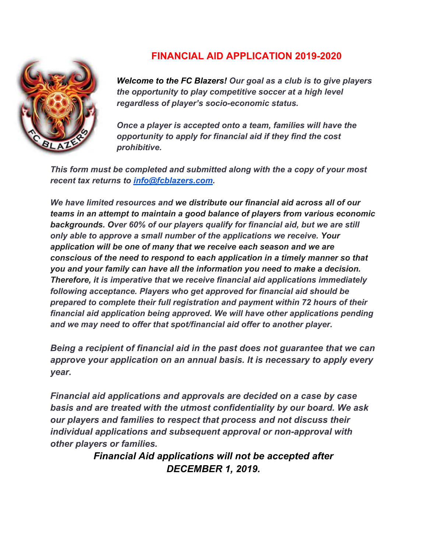

## **FINANCIAL AID APPLICATION 2019-2020**

*Welcome to the FC Blazers! Our goal as a club is to give players the opportunity to play competitive soccer at a high level regardless of player's socio-economic status.* 

*Once a player is accepted onto a team, families will have the opportunity to apply for financial aid if they find the cost prohibitive.* 

*This form must be completed and submitted along with the a copy of your most recent tax returns to info@fcblazers.com.* 

*We have limited resources and we distribute our financial aid across all of our teams in an attempt to maintain a good balance of players from various economic backgrounds. Over 60% of our players qualify for financial aid, but we are still only able to approve a small number of the applications we receive. Your application will be one of many that we receive each season and we are conscious of the need to respond to each application in a timely manner so that you and your family can have all the information you need to make a decision. Therefore, it is imperative that we receive financial aid applications immediately following acceptance. Players who get approved for financial aid should be prepared to complete their full registration and payment within 72 hours of their financial aid application being approved. We will have other applications pending and we may need to offer that spot/financial aid offer to another player.* 

*Being a recipient of financial aid in the past does not guarantee that we can approve your application on an annual basis. It is necessary to apply every year.* 

*Financial aid applications and approvals are decided on a case by case basis and are treated with the utmost confidentiality by our board. We ask our players and families to respect that process and not discuss their individual applications and subsequent approval or non-approval with other players or families.* 

> *Financial Aid applications will not be accepted after DECEMBER 1, 2019.*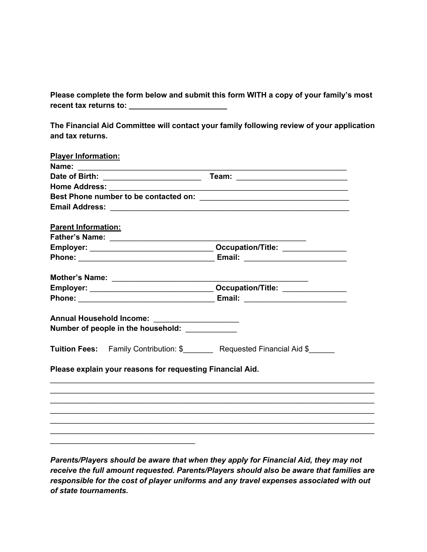**Please complete the form below and submit this form WITH a copy of your family's most recent tax returns to: \_\_\_\_\_\_\_\_\_\_\_\_\_\_\_\_\_\_\_\_\_\_\_**

**The Financial Aid Committee will contact your family following review of your application and tax returns.** 

| <b>Player Information:</b> |                                                           |                                                                                   |
|----------------------------|-----------------------------------------------------------|-----------------------------------------------------------------------------------|
|                            |                                                           |                                                                                   |
|                            |                                                           |                                                                                   |
|                            |                                                           |                                                                                   |
|                            |                                                           |                                                                                   |
|                            |                                                           |                                                                                   |
| <b>Parent Information:</b> |                                                           |                                                                                   |
|                            |                                                           |                                                                                   |
|                            |                                                           |                                                                                   |
|                            |                                                           |                                                                                   |
|                            | Mother's Name: $\frac{1}{\sqrt{2\pi}}$                    |                                                                                   |
|                            |                                                           |                                                                                   |
|                            |                                                           |                                                                                   |
|                            |                                                           |                                                                                   |
|                            | Annual Household Income: _____________________            |                                                                                   |
|                            | Number of people in the household:                        |                                                                                   |
|                            |                                                           | Tuition Fees: Family Contribution: \$__________ Requested Financial Aid \$_______ |
|                            | Please explain your reasons for requesting Financial Aid. |                                                                                   |
|                            |                                                           |                                                                                   |
|                            |                                                           |                                                                                   |
|                            |                                                           |                                                                                   |
|                            |                                                           |                                                                                   |
|                            |                                                           |                                                                                   |
|                            |                                                           |                                                                                   |
|                            |                                                           |                                                                                   |

*Parents/Players should be aware that when they apply for Financial Aid, they may not receive the full amount requested. Parents/Players should also be aware that families are responsible for the cost of player uniforms and any travel expenses associated with out of state tournaments.*